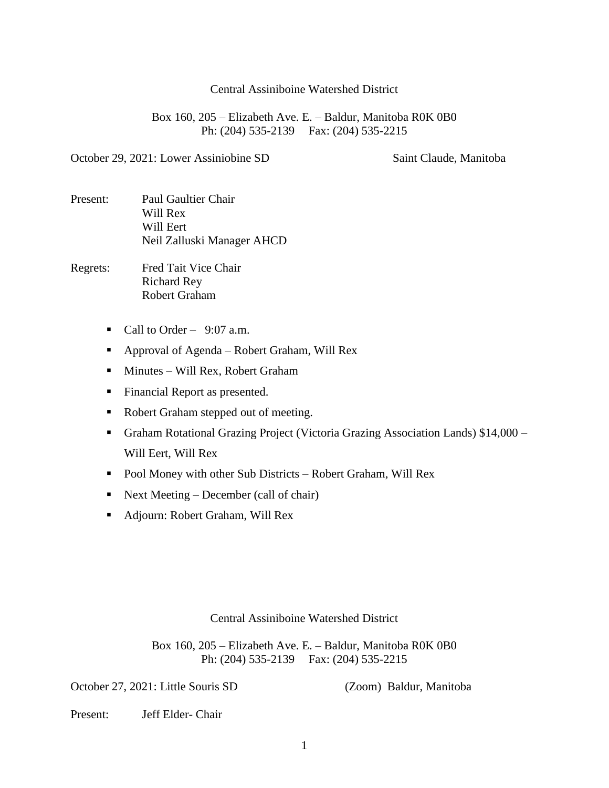Central Assiniboine Watershed District

Box 160, 205 – Elizabeth Ave. E. – Baldur, Manitoba R0K 0B0 Ph: (204) 535-2139 Fax: (204) 535-2215

October 29, 2021: Lower Assiniobine SD Saint Claude, Manitoba

Present: Paul Gaultier Chair Will Rex Will Eert Neil Zalluski Manager AHCD

Regrets: Fred Tait Vice Chair Richard Rey Robert Graham

- Call to Order  $9:07$  a.m.
- Approval of Agenda Robert Graham, Will Rex
- Minutes Will Rex, Robert Graham
- **Financial Report as presented.**
- Robert Graham stepped out of meeting.
- Graham Rotational Grazing Project (Victoria Grazing Association Lands) \$14,000 Will Eert, Will Rex
- Pool Money with other Sub Districts Robert Graham, Will Rex
- Next Meeting December (call of chair)
- Adjourn: Robert Graham, Will Rex

Central Assiniboine Watershed District

Box 160, 205 – Elizabeth Ave. E. – Baldur, Manitoba R0K 0B0 Ph: (204) 535-2139 Fax: (204) 535-2215

October 27, 2021: Little Souris SD (Zoom) Baldur, Manitoba

Present: Jeff Elder- Chair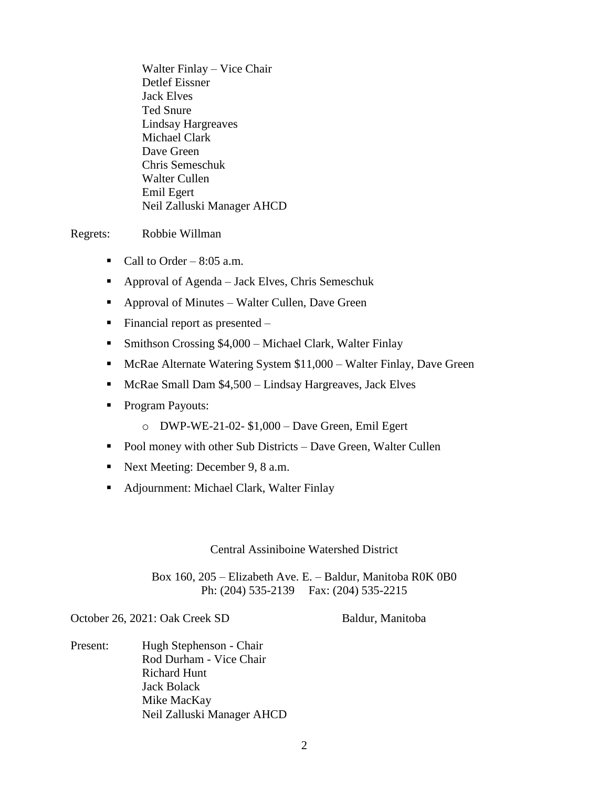Walter Finlay – Vice Chair Detlef Eissner Jack Elves Ted Snure Lindsay Hargreaves Michael Clark Dave Green Chris Semeschuk Walter Cullen Emil Egert Neil Zalluski Manager AHCD

## Regrets: Robbie Willman

- Call to Order  $8:05$  a.m.
- Approval of Agenda Jack Elves, Chris Semeschuk
- Approval of Minutes Walter Cullen, Dave Green
- $\blacksquare$  Financial report as presented –
- Smithson Crossing \$4,000 Michael Clark, Walter Finlay
- McRae Alternate Watering System \$11,000 Walter Finlay, Dave Green
- McRae Small Dam \$4,500 Lindsay Hargreaves, Jack Elves
- **Program Payouts:** 
	- o DWP-WE-21-02- \$1,000 Dave Green, Emil Egert
- Pool money with other Sub Districts Dave Green, Walter Cullen
- Next Meeting: December 9, 8 a.m.
- Adjournment: Michael Clark, Walter Finlay

Central Assiniboine Watershed District

Box 160, 205 – Elizabeth Ave. E. – Baldur, Manitoba R0K 0B0 Ph: (204) 535-2139 Fax: (204) 535-2215

October 26, 2021: Oak Creek SD Baldur, Manitoba

Present: Hugh Stephenson - Chair Rod Durham - Vice Chair Richard Hunt Jack Bolack Mike MacKay Neil Zalluski Manager AHCD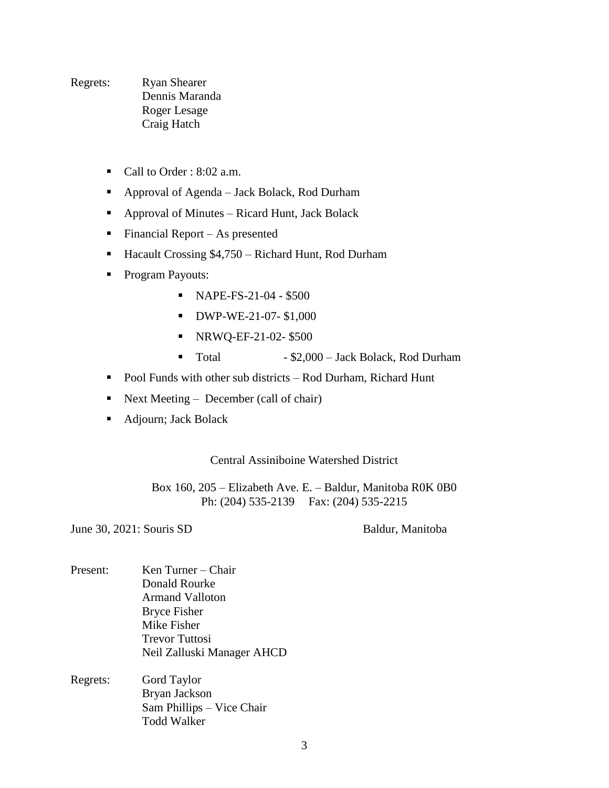Regrets: Ryan Shearer Dennis Maranda Roger Lesage Craig Hatch

- Call to Order : 8:02 a.m.
- Approval of Agenda Jack Bolack, Rod Durham
- Approval of Minutes Ricard Hunt, Jack Bolack
- Financial Report As presented
- Hacault Crossing \$4,750 Richard Hunt, Rod Durham
- **Program Payouts:** 
	- NAPE-FS-21-04 \$500
	- **DWP-WE-21-07-\$1,000**
	- NRWQ-EF-21-02- \$500
	- Total \$2,000 Jack Bolack, Rod Durham
- Pool Funds with other sub districts Rod Durham, Richard Hunt
- Next Meeting December (call of chair)
- Adjourn; Jack Bolack

Central Assiniboine Watershed District

Box 160, 205 – Elizabeth Ave. E. – Baldur, Manitoba R0K 0B0 Ph: (204) 535-2139 Fax: (204) 535-2215

June 30, 2021: Souris SD Baldur, Manitoba

- Present: Ken Turner Chair Donald Rourke Armand Valloton Bryce Fisher Mike Fisher Trevor Tuttosi Neil Zalluski Manager AHCD
- Regrets: Gord Taylor Bryan Jackson Sam Phillips – Vice Chair Todd Walker